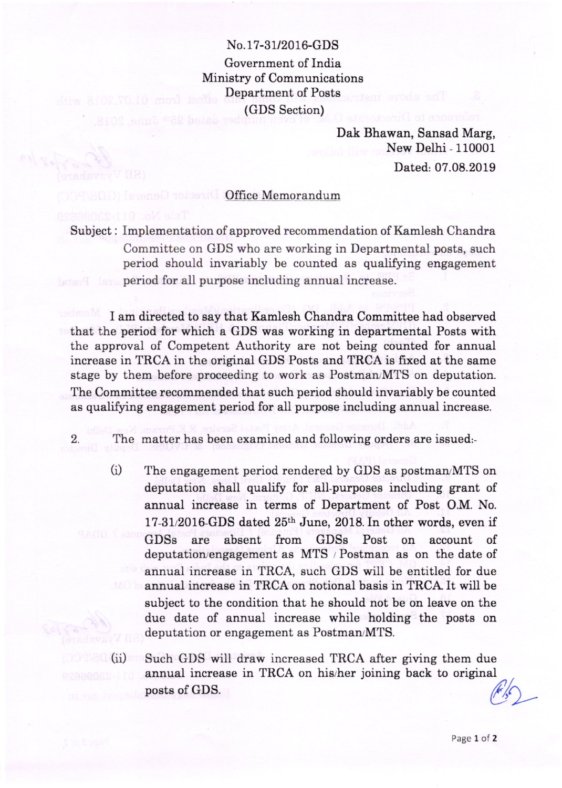No.17-31/2016-GDS Government of India Ministry of Communications Department of Posts (GDS Section)

> Dak Bhawan, Sansad Marg, New Delhi - 110001 Dated, 07.08.2019

## **IstensO** todouill Office Memorandum

Subject : Implementation of approved recommendation of Kamlesh Chandra Committee on GDS who are working in Departmental posts, such period should invariably be counted as qualifying engagement period for all purpose including annual increase.

I am directed to say that Kamlesh Chandra Committee had observed that the period for which a GDS was working in departmental Posts with the approval of Competent Authority are not being counted for annual increase in TRCA in the original GDS Posts and TRCA is frxed at the same stage by them before proceeding to work as Postman/MTS on deputation. The Committee recommended that such period should invariably be counted as qualifying engagement period for all purpose including annual increase.

2. The matter has been examined and following orders are issued,-

(i) The engagement period rendered by GDS as postman/MTS on deputation shall qualify for all-purposes including grant of annual increase in terms of Department of Post O.M. No.  $17-31/2016$ -GDS dated  $25<sup>th</sup>$  June, 2018. In other words, even if GDSs are absent from GDSs Post on account of deputation/engagement as MTS / Postman as on the date of annual increase in TRCA, such GDS will be entitled for due annual increase in TRCA on notional basis in TRCA It wiII be subject to the condition that he should not be on leave on the due date of annual increase while holding the posts on deputation or engagement as Postman/MTS.

(ii) Such GDS will draw increased TRCA after giving them due annual increase in TRCA on his/her joining back to original posts of GDS.  $\left(\frac{\hat{F}}{\hat{F}}\right)$